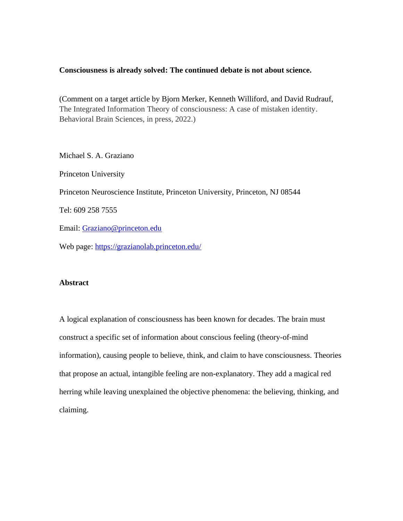## **Consciousness is already solved: The continued debate is not about science.**

(Comment on a target article by Bjorn Merker, Kenneth Williford, and David Rudrauf, The Integrated Information Theory of consciousness: A case of mistaken identity. Behavioral Brain Sciences, in press, 2022.)

Michael S. A. Graziano Princeton University Princeton Neuroscience Institute, Princeton University, Princeton, NJ 08544 Tel: 609 258 7555 Email: [Graziano@princeton.edu](mailto:Graziano@princeton.edu) Web page:<https://grazianolab.princeton.edu/>

## **Abstract**

A logical explanation of consciousness has been known for decades. The brain must construct a specific set of information about conscious feeling (theory-of-mind information), causing people to believe, think, and claim to have consciousness. Theories that propose an actual, intangible feeling are non-explanatory. They add a magical red herring while leaving unexplained the objective phenomena: the believing, thinking, and claiming.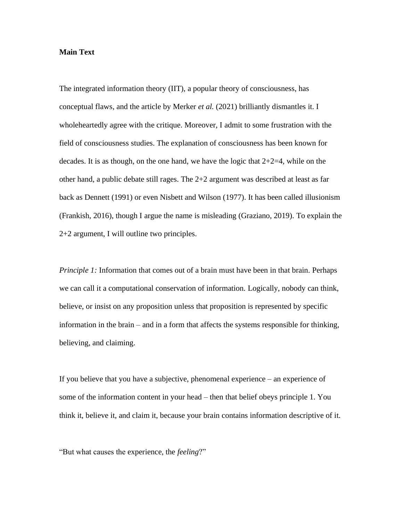## **Main Text**

The integrated information theory (IIT), a popular theory of consciousness, has conceptual flaws, and the article by Merker *et al.* (2021) brilliantly dismantles it. I wholeheartedly agree with the critique. Moreover, I admit to some frustration with the field of consciousness studies. The explanation of consciousness has been known for decades. It is as though, on the one hand, we have the logic that  $2+2=4$ , while on the other hand, a public debate still rages. The 2+2 argument was described at least as far back as Dennett (1991) or even Nisbett and Wilson (1977). It has been called illusionism (Frankish, 2016), though I argue the name is misleading (Graziano, 2019). To explain the 2+2 argument, I will outline two principles.

*Principle 1:* Information that comes out of a brain must have been in that brain. Perhaps we can call it a computational conservation of information. Logically, nobody can think, believe, or insist on any proposition unless that proposition is represented by specific information in the brain – and in a form that affects the systems responsible for thinking, believing, and claiming.

If you believe that you have a subjective, phenomenal experience – an experience of some of the information content in your head – then that belief obeys principle 1. You think it, believe it, and claim it, because your brain contains information descriptive of it.

"But what causes the experience, the *feeling*?"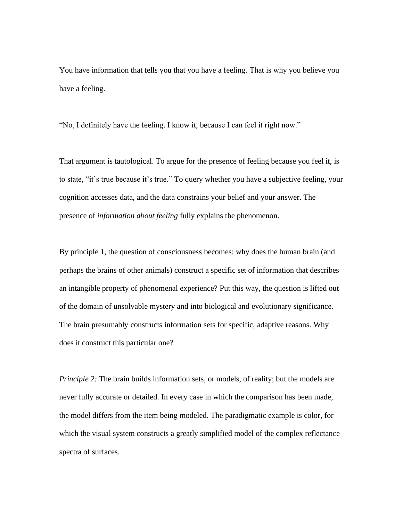You have information that tells you that you have a feeling. That is why you believe you have a feeling.

"No, I definitely have the feeling. I know it, because I can feel it right now."

That argument is tautological. To argue for the presence of feeling because you feel it, is to state, "it's true because it's true." To query whether you have a subjective feeling, your cognition accesses data, and the data constrains your belief and your answer. The presence of *information about feeling* fully explains the phenomenon.

By principle 1, the question of consciousness becomes: why does the human brain (and perhaps the brains of other animals) construct a specific set of information that describes an intangible property of phenomenal experience? Put this way, the question is lifted out of the domain of unsolvable mystery and into biological and evolutionary significance. The brain presumably constructs information sets for specific, adaptive reasons. Why does it construct this particular one?

*Principle 2:* The brain builds information sets, or models, of reality; but the models are never fully accurate or detailed. In every case in which the comparison has been made, the model differs from the item being modeled. The paradigmatic example is color, for which the visual system constructs a greatly simplified model of the complex reflectance spectra of surfaces.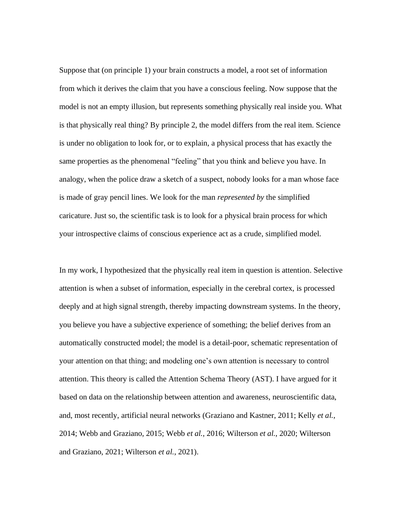Suppose that (on principle 1) your brain constructs a model, a root set of information from which it derives the claim that you have a conscious feeling. Now suppose that the model is not an empty illusion, but represents something physically real inside you. What is that physically real thing? By principle 2, the model differs from the real item. Science is under no obligation to look for, or to explain, a physical process that has exactly the same properties as the phenomenal "feeling" that you think and believe you have. In analogy, when the police draw a sketch of a suspect, nobody looks for a man whose face is made of gray pencil lines. We look for the man *represented by* the simplified caricature. Just so, the scientific task is to look for a physical brain process for which your introspective claims of conscious experience act as a crude, simplified model.

In my work, I hypothesized that the physically real item in question is attention. Selective attention is when a subset of information, especially in the cerebral cortex, is processed deeply and at high signal strength, thereby impacting downstream systems. In the theory, you believe you have a subjective experience of something; the belief derives from an automatically constructed model; the model is a detail-poor, schematic representation of your attention on that thing; and modeling one's own attention is necessary to control attention. This theory is called the Attention Schema Theory (AST). I have argued for it based on data on the relationship between attention and awareness, neuroscientific data, and, most recently, artificial neural networks (Graziano and Kastner, 2011; Kelly *et al.*, 2014; Webb and Graziano, 2015; Webb *et al.*, 2016; Wilterson *et al.*, 2020; Wilterson and Graziano, 2021; Wilterson *et al.*, 2021).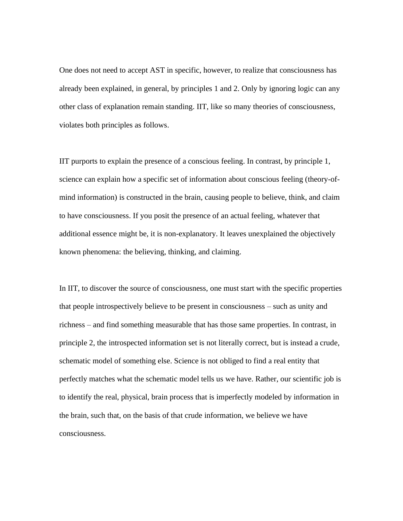One does not need to accept AST in specific, however, to realize that consciousness has already been explained, in general, by principles 1 and 2. Only by ignoring logic can any other class of explanation remain standing. IIT, like so many theories of consciousness, violates both principles as follows.

IIT purports to explain the presence of a conscious feeling. In contrast, by principle 1, science can explain how a specific set of information about conscious feeling (theory-ofmind information) is constructed in the brain, causing people to believe, think, and claim to have consciousness. If you posit the presence of an actual feeling, whatever that additional essence might be, it is non-explanatory. It leaves unexplained the objectively known phenomena: the believing, thinking, and claiming.

In IIT, to discover the source of consciousness, one must start with the specific properties that people introspectively believe to be present in consciousness – such as unity and richness – and find something measurable that has those same properties. In contrast, in principle 2, the introspected information set is not literally correct, but is instead a crude, schematic model of something else. Science is not obliged to find a real entity that perfectly matches what the schematic model tells us we have. Rather, our scientific job is to identify the real, physical, brain process that is imperfectly modeled by information in the brain, such that, on the basis of that crude information, we believe we have consciousness.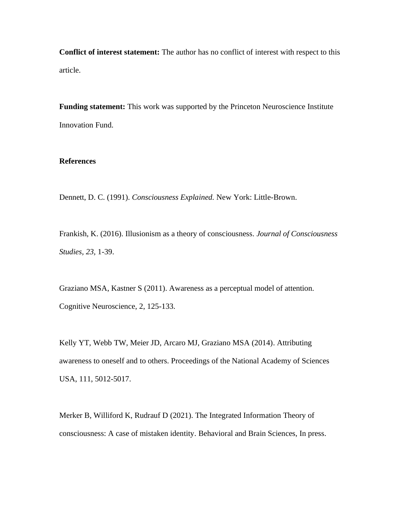**Conflict of interest statement:** The author has no conflict of interest with respect to this article.

**Funding statement:** This work was supported by the Princeton Neuroscience Institute Innovation Fund.

## **References**

Dennett, D. C. (1991). *Consciousness Explained.* New York: Little-Brown.

Frankish, K. (2016). Illusionism as a theory of consciousness. *Journal of Consciousness Studies, 23,* 1-39.

Graziano MSA, Kastner S (2011). Awareness as a perceptual model of attention. Cognitive Neuroscience, 2, 125-133.

Kelly YT, Webb TW, Meier JD, Arcaro MJ, Graziano MSA (2014). Attributing awareness to oneself and to others. Proceedings of the National Academy of Sciences USA, 111, 5012-5017.

Merker B, Williford K, Rudrauf D (2021). The Integrated Information Theory of consciousness: A case of mistaken identity. Behavioral and Brain Sciences, In press.